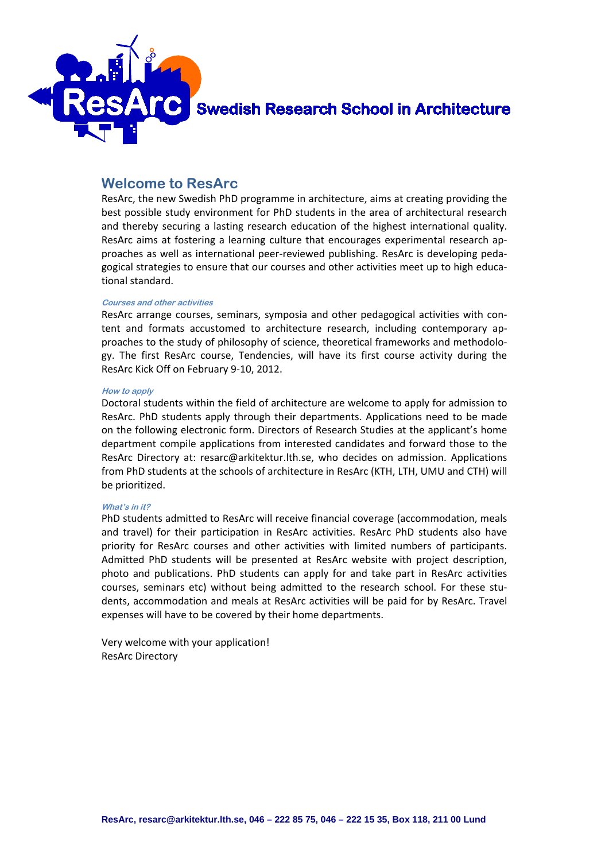

**Swedish Research School in Architecture** 

## **Welcome to ResArc**

ResArc, the new Swedish PhD programme in architecture, aims at creating providing the best possible study environment for PhD students in the area of architectural research and thereby securing a lasting research education of the highest international quality. ResArc aims at fostering a learning culture that encourages experimental research approaches as well as international peer-reviewed publishing. ResArc is developing pedagogical strategies to ensure that our courses and other activities meet up to high educational standard.

#### **Courses and other activities**

ResArc arrange courses, seminars, symposia and other pedagogical activities with content and formats accustomed to architecture research, including contemporary approaches to the study of philosophy of science, theoretical frameworks and methodology. The first ResArc course, Tendencies, will have its first course activity during the ResArc Kick Off on February 9-10, 2012.

#### **How to apply**

Doctoral students within the field of architecture are welcome to apply for admission to ResArc. PhD students apply through their departments. Applications need to be made on the following electronic form. Directors of Research Studies at the applicant's home department compile applications from interested candidates and forward those to the ResArc Directory at: resarc@arkitektur.lth.se, who decides on admission. Applications from PhD students at the schools of architecture in ResArc (KTH, LTH, UMU and CTH) will be prioritized.

#### **What's in it?**

PhD students admitted to ResArc will receive financial coverage (accommodation, meals and travel) for their participation in ResArc activities. ResArc PhD students also have priority for ResArc courses and other activities with limited numbers of participants. Admitted PhD students will be presented at ResArc website with project description, photo and publications. PhD students can apply for and take part in ResArc activities courses, seminars etc) without being admitted to the research school. For these students, accommodation and meals at ResArc activities will be paid for by ResArc. Travel expenses will have to be covered by their home departments.

Very welcome with your application! ResArc Directory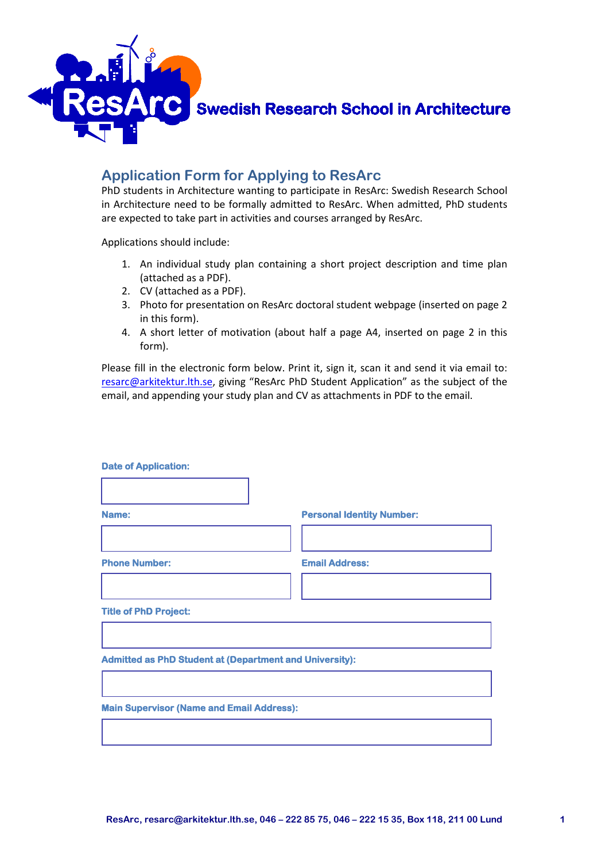

Swedish Research School in Architecture

# **Application Form for Applying to ResArc**

PhD students in Architecture wanting to participate in ResArc: Swedish Research School in Architecture need to be formally admitted to ResArc. When admitted, PhD students are expected to take part in activities and courses arranged by ResArc.

Applications should include:

- 1. An individual study plan containing a short project description and time plan (attached as a PDF).
- 2. CV (attached as a PDF).
- 3. Photo for presentation on ResArc doctoral student webpage (inserted on page 2 in this form).
- 4. A short letter of motivation (about half a page A4, inserted on page 2 in this form).

Please fill in the electronic form below. Print it, sign it, scan it and send it via email to: [resarc@arkitektur.lth.se,](mailto:resarc@arkitektur.lth.se) giving "ResArc PhD Student Application" as the subject of the email, and appending your study plan and CV as attachments in PDF to the email.

| <b>Date of Application:</b>                                    |                                  |
|----------------------------------------------------------------|----------------------------------|
|                                                                |                                  |
| Name:                                                          | <b>Personal Identity Number:</b> |
|                                                                |                                  |
| <b>Phone Number:</b>                                           | <b>Email Address:</b>            |
|                                                                |                                  |
| <b>Title of PhD Project:</b>                                   |                                  |
|                                                                |                                  |
| <b>Admitted as PhD Student at (Department and University):</b> |                                  |
|                                                                |                                  |
| <b>Main Supervisor (Name and Email Address):</b>               |                                  |
|                                                                |                                  |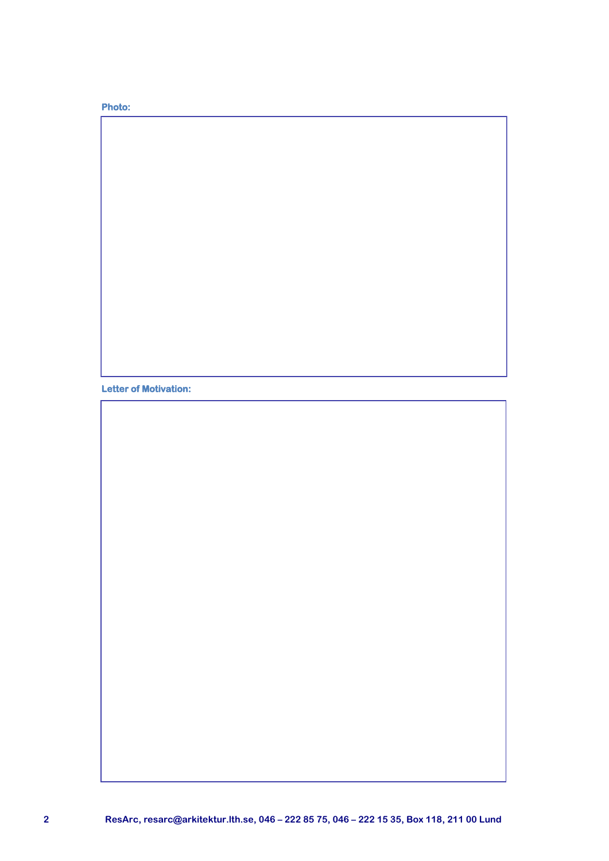### **Photo:**

**Letter of Motivation:**